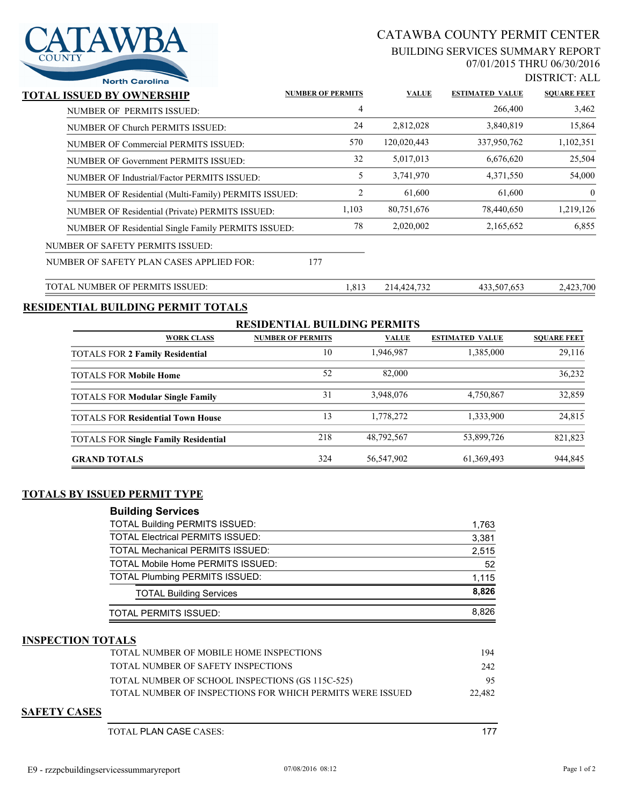

# CATAWBA COUNTY PERMIT CENTER

### BUILDING SERVICES SUMMARY REPORT 07/01/2015 THRU 06/30/2016

DISTRICT: ALL

| <b>North Carolina</b>                                |                          |       |              |                        | <u> DIOINNOI.ILD</u> |
|------------------------------------------------------|--------------------------|-------|--------------|------------------------|----------------------|
| TOTAL ISSUED BY OWNERSHIP                            | <b>NUMBER OF PERMITS</b> |       | <b>VALUE</b> | <b>ESTIMATED VALUE</b> | <b>SQUARE FEET</b>   |
| NUMBER OF PERMITS ISSUED:                            |                          | 4     |              | 266,400                | 3,462                |
| NUMBER OF Church PERMITS ISSUED:                     |                          | 24    | 2,812,028    | 3,840,819              | 15,864               |
| NUMBER OF Commercial PERMITS ISSUED:                 |                          | 570   | 120,020,443  | 337,950,762            | 1,102,351            |
| NUMBER OF Government PERMITS ISSUED:                 |                          | 32    | 5,017,013    | 6,676,620              | 25,504               |
| NUMBER OF Industrial/Factor PERMITS ISSUED:          |                          | 5     | 3,741,970    | 4,371,550              | 54,000               |
| NUMBER OF Residential (Multi-Family) PERMITS ISSUED: |                          | 2     | 61,600       | 61,600                 | $\overline{0}$       |
| NUMBER OF Residential (Private) PERMITS ISSUED:      |                          | 1,103 | 80,751,676   | 78,440,650             | 1,219,126            |
| NUMBER OF Residential Single Family PERMITS ISSUED:  |                          | 78    | 2,020,002    | 2,165,652              | 6,855                |
| NUMBER OF SAFETY PERMITS ISSUED:                     |                          |       |              |                        |                      |
| NUMBER OF SAFETY PLAN CASES APPLIED FOR:             | 177                      |       |              |                        |                      |
| TOTAL NUMBER OF PERMITS ISSUED:                      |                          | 1,813 | 214,424,732  | 433,507,653            | 2,423,700            |

## **RESIDENTIAL BUILDING PERMIT TOTALS**

| <b>RESIDENTIAL BUILDING PERMITS</b>         |                          |              |                        |                    |  |  |  |
|---------------------------------------------|--------------------------|--------------|------------------------|--------------------|--|--|--|
| <b>WORK CLASS</b>                           | <b>NUMBER OF PERMITS</b> | <b>VALUE</b> | <b>ESTIMATED VALUE</b> | <b>SOUARE FEET</b> |  |  |  |
| <b>TOTALS FOR 2 Family Residential</b>      | 10                       | 1,946,987    | 1,385,000              | 29,116             |  |  |  |
| <b>TOTALS FOR Mobile Home</b>               | 52                       | 82,000       |                        | 36,232             |  |  |  |
| <b>TOTALS FOR Modular Single Family</b>     | 31                       | 3,948,076    | 4,750,867              | 32,859             |  |  |  |
| <b>TOTALS FOR Residential Town House</b>    | 13                       | 1,778,272    | 1,333,900              | 24,815             |  |  |  |
| <b>TOTALS FOR Single Family Residential</b> | 218                      | 48,792,567   | 53,899,726             | 821,823            |  |  |  |
| <b>GRAND TOTALS</b>                         | 324                      | 56,547,902   | 61, 369, 493           | 944,845            |  |  |  |

## **TOTALS BY ISSUED PERMIT TYPE**

| <b>Building Services</b>                 |       |
|------------------------------------------|-------|
| <b>TOTAL Building PERMITS ISSUED:</b>    | 1,763 |
| <b>TOTAL Electrical PERMITS ISSUED:</b>  | 3,381 |
| <b>TOTAL Mechanical PERMITS ISSUED:</b>  | 2,515 |
| <b>TOTAL Mobile Home PERMITS ISSUED:</b> | 52    |
| <b>TOTAL Plumbing PERMITS ISSUED:</b>    | 1.115 |
| <b>TOTAL Building Services</b>           | 8,826 |
| <b>TOTAL PERMITS ISSUED:</b>             | 8.826 |

#### **INSPECTION TOTALS**

| TOTAL NUMBER OF MOBILE HOME INSPECTIONS                   | 194    |
|-----------------------------------------------------------|--------|
| TOTAL NUMBER OF SAFETY INSPECTIONS                        | 242    |
| TOTAL NUMBER OF SCHOOL INSPECTIONS (GS 115C-525)          | 95     |
| TOTAL NUMBER OF INSPECTIONS FOR WHICH PERMITS WERE ISSUED | 22.482 |

### **SAFETY CASES**

TOTAL PLAN CASE CASES: 177